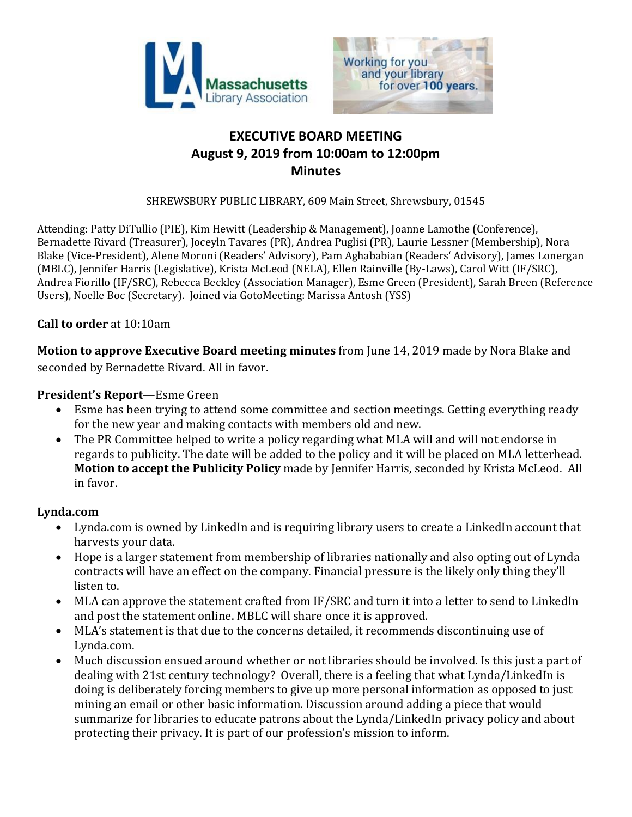



# **EXECUTIVE BOARD MEETING August 9, 2019 from 10:00am to 12:00pm Minutes**

SHREWSBURY PUBLIC LIBRARY, 609 Main Street, Shrewsbury, 01545

Attending: Patty DiTullio (PIE), Kim Hewitt (Leadership & Management), Joanne Lamothe (Conference), Bernadette Rivard (Treasurer), Joceyln Tavares (PR), Andrea Puglisi (PR), Laurie Lessner (Membership), Nora Blake (Vice-President), Alene Moroni (Readers' Advisory), Pam Aghababian (Readers' Advisory), James Lonergan (MBLC), Jennifer Harris (Legislative), Krista McLeod (NELA), Ellen Rainville (By-Laws), Carol Witt (IF/SRC), Andrea Fiorillo (IF/SRC), Rebecca Beckley (Association Manager), Esme Green (President), Sarah Breen (Reference Users), Noelle Boc (Secretary). Joined via GotoMeeting: Marissa Antosh (YSS)

### **Call to order** at 10:10am

**Motion to approve Executive Board meeting minutes** from June 14, 2019 made by Nora Blake and seconded by Bernadette Rivard. All in favor.

#### **President's Report**—Esme Green

- Esme has been trying to attend some committee and section meetings. Getting everything ready for the new year and making contacts with members old and new.
- The PR Committee helped to write a policy regarding what MLA will and will not endorse in regards to publicity. The date will be added to the policy and it will be placed on MLA letterhead. **Motion to accept the Publicity Policy** made by Jennifer Harris, seconded by Krista McLeod. All in favor.

### **Lynda.com**

- Lynda.com is owned by LinkedIn and is requiring library users to create a LinkedIn account that harvests your data.
- Hope is a larger statement from membership of libraries nationally and also opting out of Lynda contracts will have an effect on the company. Financial pressure is the likely only thing they'll listen to.
- MLA can approve the statement crafted from IF/SRC and turn it into a letter to send to LinkedIn and post the statement online. MBLC will share once it is approved.
- MLA's statement is that due to the concerns detailed, it recommends discontinuing use of Lynda.com.
- Much discussion ensued around whether or not libraries should be involved. Is this just a part of dealing with 21st century technology? Overall, there is a feeling that what Lynda/LinkedIn is doing is deliberately forcing members to give up more personal information as opposed to just mining an email or other basic information. Discussion around adding a piece that would summarize for libraries to educate patrons about the Lynda/LinkedIn privacy policy and about protecting their privacy. It is part of our profession's mission to inform.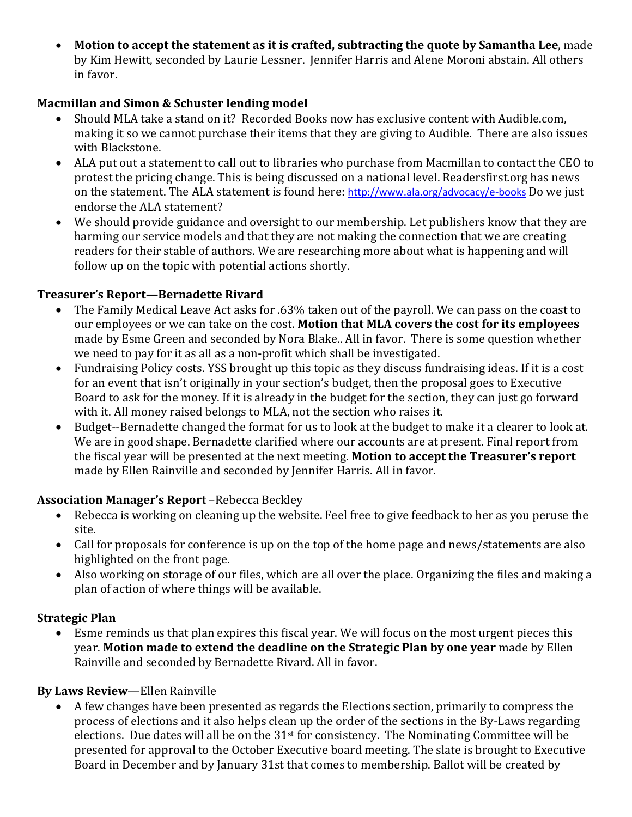**Motion to accept the statement as it is crafted, subtracting the quote by Samantha Lee**, made by Kim Hewitt, seconded by Laurie Lessner. Jennifer Harris and Alene Moroni abstain. All others in favor.

## **Macmillan and Simon & Schuster lending model**

- Should MLA take a stand on it? Recorded Books now has exclusive content with Audible.com, making it so we cannot purchase their items that they are giving to Audible. There are also issues with Blackstone.
- ALA put out a statement to call out to libraries who purchase from Macmillan to contact the CEO to protest the pricing change. This is being discussed on a national level. Readersfirst.org has news on the statement. The ALA statement is found here: <http://www.ala.org/advocacy/e-books> Do we just endorse the ALA statement?
- We should provide guidance and oversight to our membership. Let publishers know that they are harming our service models and that they are not making the connection that we are creating readers for their stable of authors. We are researching more about what is happening and will follow up on the topic with potential actions shortly.

## **Treasurer's Report—Bernadette Rivard**

- The Family Medical Leave Act asks for .63% taken out of the payroll. We can pass on the coast to our employees or we can take on the cost. **Motion that MLA covers the cost for its employees** made by Esme Green and seconded by Nora Blake.. All in favor. There is some question whether we need to pay for it as all as a non-profit which shall be investigated.
- Fundraising Policy costs. YSS brought up this topic as they discuss fundraising ideas. If it is a cost for an event that isn't originally in your section's budget, then the proposal goes to Executive Board to ask for the money. If it is already in the budget for the section, they can just go forward with it. All money raised belongs to MLA, not the section who raises it.
- Budget--Bernadette changed the format for us to look at the budget to make it a clearer to look at. We are in good shape. Bernadette clarified where our accounts are at present. Final report from the fiscal year will be presented at the next meeting. **Motion to accept the Treasurer's report** made by Ellen Rainville and seconded by Jennifer Harris. All in favor.

# **Association Manager's Report** –Rebecca Beckley

- Rebecca is working on cleaning up the website. Feel free to give feedback to her as you peruse the site.
- Call for proposals for conference is up on the top of the home page and news/statements are also highlighted on the front page.
- Also working on storage of our files, which are all over the place. Organizing the files and making a plan of action of where things will be available.

### **Strategic Plan**

 Esme reminds us that plan expires this fiscal year. We will focus on the most urgent pieces this year. **Motion made to extend the deadline on the Strategic Plan by one year** made by Ellen Rainville and seconded by Bernadette Rivard. All in favor.

# **By Laws Review**—Ellen Rainville

 A few changes have been presented as regards the Elections section, primarily to compress the process of elections and it also helps clean up the order of the sections in the By-Laws regarding elections. Due dates will all be on the  $31<sup>st</sup>$  for consistency. The Nominating Committee will be presented for approval to the October Executive board meeting. The slate is brought to Executive Board in December and by January 31st that comes to membership. Ballot will be created by